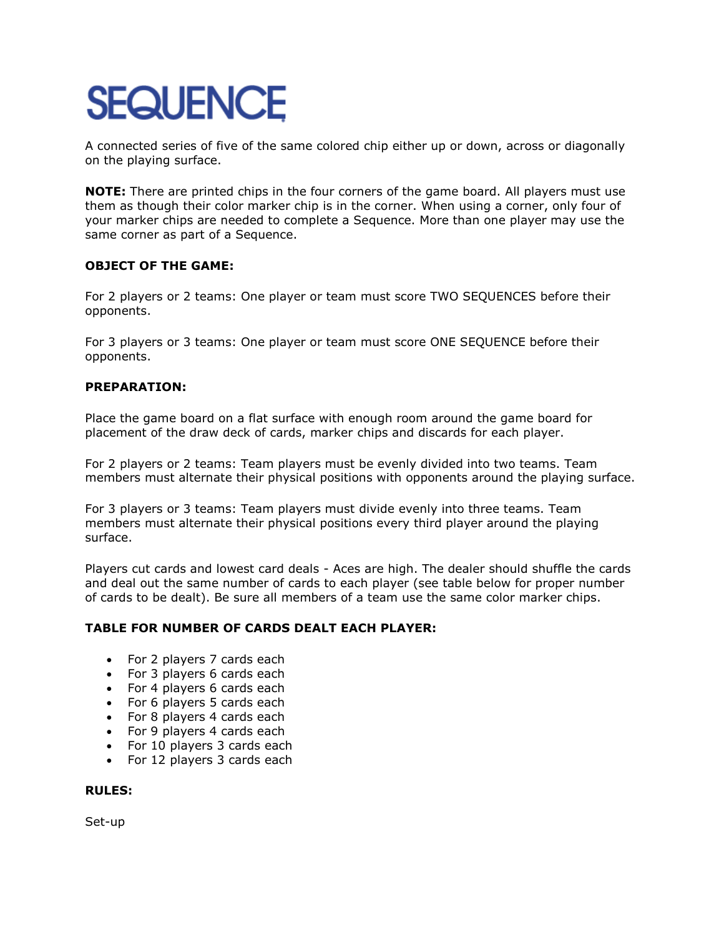# **SEQUENCE**

A connected series of five of the same colored chip either up or down, across or diagonally on the playing surface.

**NOTE:** There are printed chips in the four corners of the game board. All players must use them as though their color marker chip is in the corner. When using a corner, only four of your marker chips are needed to complete a Sequence. More than one player may use the same corner as part of a Sequence.

# **OBJECT OF THE GAME:**

For 2 players or 2 teams: One player or team must score TWO SEQUENCES before their opponents.

For 3 players or 3 teams: One player or team must score ONE SEQUENCE before their opponents.

# **PREPARATION:**

Place the game board on a flat surface with enough room around the game board for placement of the draw deck of cards, marker chips and discards for each player.

For 2 players or 2 teams: Team players must be evenly divided into two teams. Team members must alternate their physical positions with opponents around the playing surface.

For 3 players or 3 teams: Team players must divide evenly into three teams. Team members must alternate their physical positions every third player around the playing surface.

Players cut cards and lowest card deals - Aces are high. The dealer should shuffle the cards and deal out the same number of cards to each player (see table below for proper number of cards to be dealt). Be sure all members of a team use the same color marker chips.

# **TABLE FOR NUMBER OF CARDS DEALT EACH PLAYER:**

- For 2 players 7 cards each
- For 3 players 6 cards each
- For 4 players 6 cards each
- For 6 players 5 cards each
- For 8 players 4 cards each
- For 9 players 4 cards each
- For 10 players 3 cards each
- For 12 players 3 cards each

#### **RULES:**

Set-up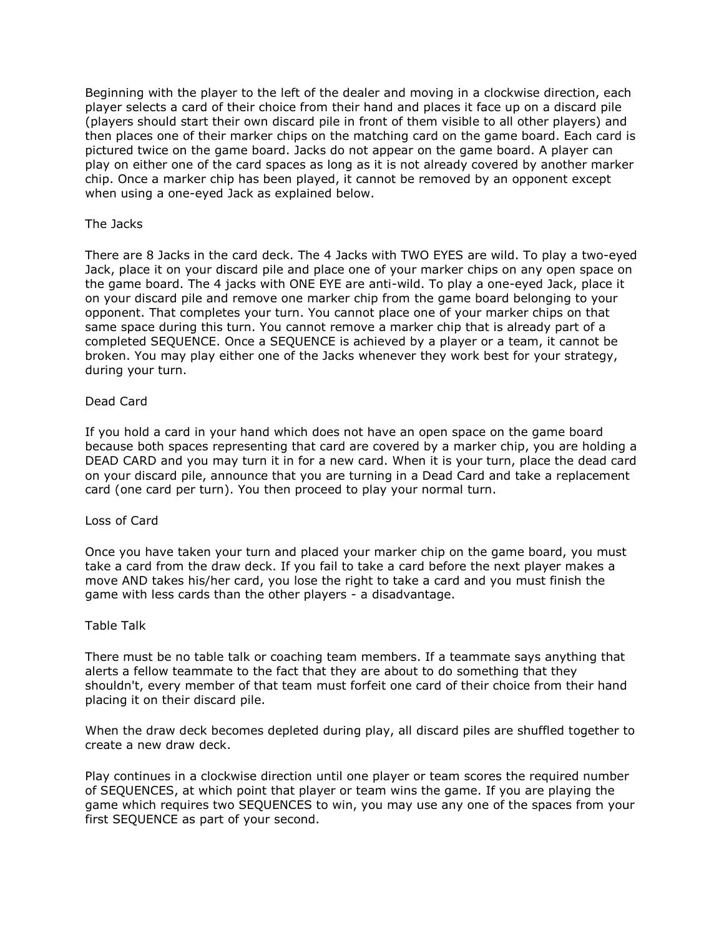Beginning with the player to the left of the dealer and moving in a clockwise direction, each player selects a card of their choice from their hand and places it face up on a discard pile (players should start their own discard pile in front of them visible to all other players) and then places one of their marker chips on the matching card on the game board. Each card is pictured twice on the game board. Jacks do not appear on the game board. A player can play on either one of the card spaces as long as it is not already covered by another marker chip. Once a marker chip has been played, it cannot be removed by an opponent except when using a one-eyed Jack as explained below.

#### The Jacks

There are 8 Jacks in the card deck. The 4 Jacks with TWO EYES are wild. To play a two-eyed Jack, place it on your discard pile and place one of your marker chips on any open space on the game board. The 4 jacks with ONE EYE are anti-wild. To play a one-eyed Jack, place it on your discard pile and remove one marker chip from the game board belonging to your opponent. That completes your turn. You cannot place one of your marker chips on that same space during this turn. You cannot remove a marker chip that is already part of a completed SEQUENCE. Once a SEQUENCE is achieved by a player or a team, it cannot be broken. You may play either one of the Jacks whenever they work best for your strategy, during your turn.

#### Dead Card

If you hold a card in your hand which does not have an open space on the game board because both spaces representing that card are covered by a marker chip, you are holding a DEAD CARD and you may turn it in for a new card. When it is your turn, place the dead card on your discard pile, announce that you are turning in a Dead Card and take a replacement card (one card per turn). You then proceed to play your normal turn.

#### Loss of Card

Once you have taken your turn and placed your marker chip on the game board, you must take a card from the draw deck. If you fail to take a card before the next player makes a move AND takes his/her card, you lose the right to take a card and you must finish the game with less cards than the other players - a disadvantage.

#### Table Talk

There must be no table talk or coaching team members. If a teammate says anything that alerts a fellow teammate to the fact that they are about to do something that they shouldn't, every member of that team must forfeit one card of their choice from their hand placing it on their discard pile.

When the draw deck becomes depleted during play, all discard piles are shuffled together to create a new draw deck.

Play continues in a clockwise direction until one player or team scores the required number of SEQUENCES, at which point that player or team wins the game. If you are playing the game which requires two SEQUENCES to win, you may use any one of the spaces from your first SEQUENCE as part of your second.